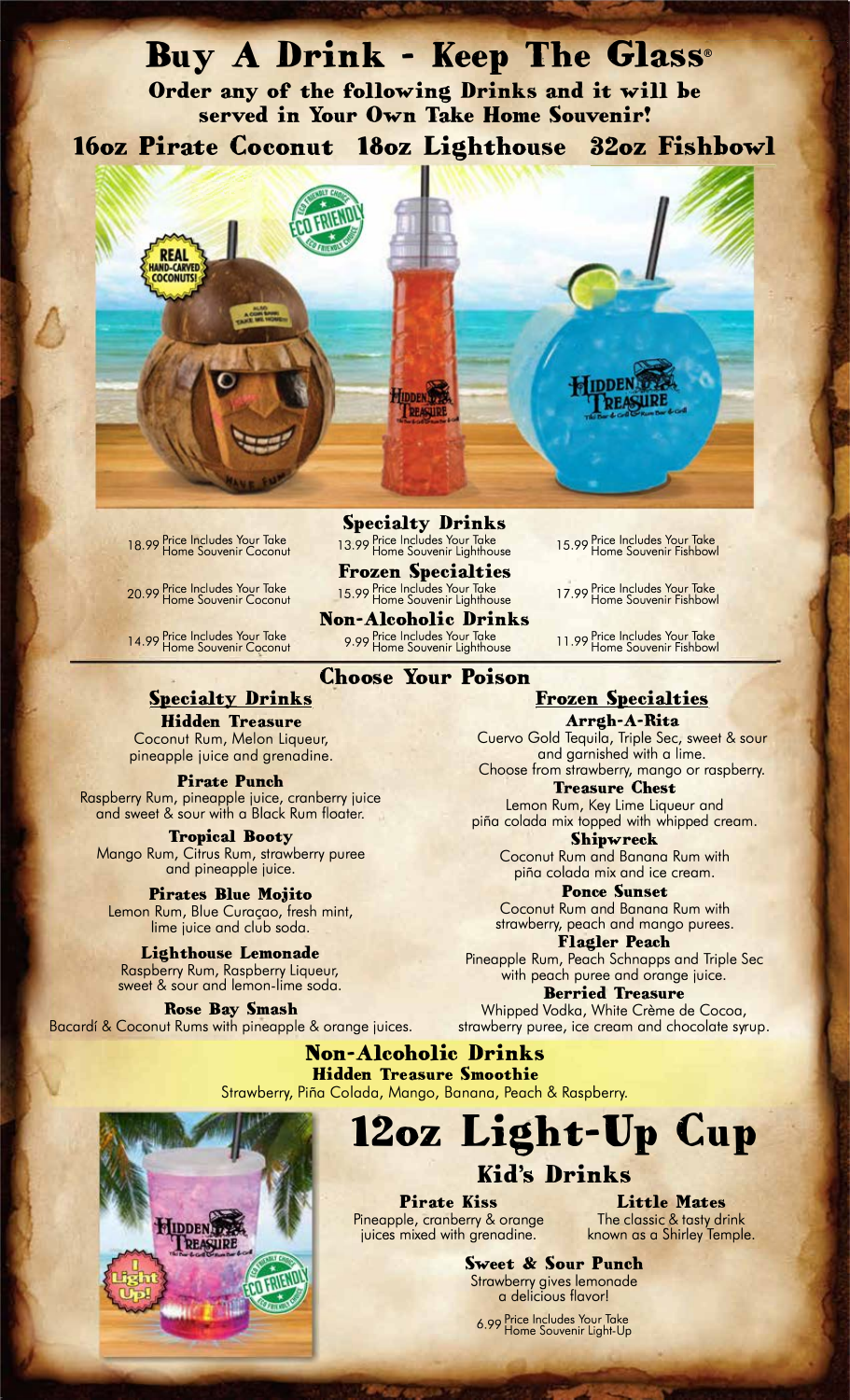### **Buy A Drink - Keep The Glass®**

**Order any of the following Drinks and it will be served in Your Own Take Home Souvenir!** 

**16oz Pirate Coconut 13oz Lighthouse 32oz Fishbowl** 



18.99 Price Includes Your Take<br>Home Souvenir Coconut

20 99 Price Includes Your Take · Home Souvenir Coconut

14.99 Price Includes Your Take<br>Home Souvenir Coconut

**Specialty Drinks**  .<sub>99</sub> Price Includes Your lake [13.99 Price Includes Your Take [15.99 Price Includes Your Take<br>Home Souvenir Coconut [13.99 Home Souvenir Lighthouse [15.99 Home Souvenir Fishbow

> **Frozen Specialties**  15.99 Price Includes Your Iake 17.99 Price Includes Your Iake<br>Home Souvenir Lighthouse 17.99 Plome Souvenir Fishbow

**Non-Alcoholic Drinks**  9.99 Price Includes Your Take<br>9.99 Home Souvenir Lighthouse op Price Includes Your Take Take Table 11.99 Price Includes Your Take<br>Mome Souvenir Lighthouse Table Thome Souvenir Fishbowl

15.99 Price Includes Your Take<br>Home Souvenir Fishbowl

17.99 Price Includes Your Take<br>Home Souvenir Fishbowl

### **Choose Your Poison**

### **Specialty Drinks**

**Hidden Treasure**  Coconut Rum, Melon Liqueur, pineapple juice and grenadine.

#### **Pirate Punch**

Raspberry Rum, pineapple juice, cranberry juice and sweet & sour with a Black Rum floater.

**Tropical Booty**  Mango Rum, Citrus Rum, strawberry puree and pineapple juice.

**Pirates Blue Mojito**  Lemon Rum, Blue Curaçao, fresh mint, lime juice and club soda.

**Lighthouse Lemonade**  Raspberry Rum, Raspberry Liqueur,

sweet & sour and lemon-lime soda.

**Rose Bay Smash**  Bacardf & Coconut Rums with pineapple & orange juices. **Frozen Specialties** 

**Arrgh-A-Rita**  Cuervo Gold Tequila, Triple Sec, sweet & sour and garnished with a lime. Choose from strawberry, mango or raspberry.

**Treasure Chest**  Lemon Rum, Key Lime Liqueur and pifia colada mix topped with whipped cream.

**Shipwreck**  Coconut Rum and Banana Rum with pifia colada mix and ice cream.

**Ponce Sunset**  Coconut Rum and Banana Rum with strawberry, peach and mango purees.

**Flagler Peach**  Pineapple Rum, Peach Schnapps and Triple Sec with peach puree and orange juice.

**Berried Treasure**  Whipped Vodka, White Crème de Cocoa, strawberry puree, ice cream and chocolate syrup.

**Non-Alcoholic Drinks Hidden Treasure Smoothie**  Strawberry, Piña Colada, Mango, Banana, Peach & Raspberry.



# **12oz Light-Up Cup**

### **Kid's Drinks**

**Pirate Kiss**  Pineapple, cranberry & orange juices mixed with grenadine.

**Little Mates**  The classic & tasty drink known as a Shirley Temple.

**Sweet; & Sour Punch**  Strawberry gives lemonade a delicious flavor!

6 99 Price Includes Your Take · Home Souvenir Light-Up